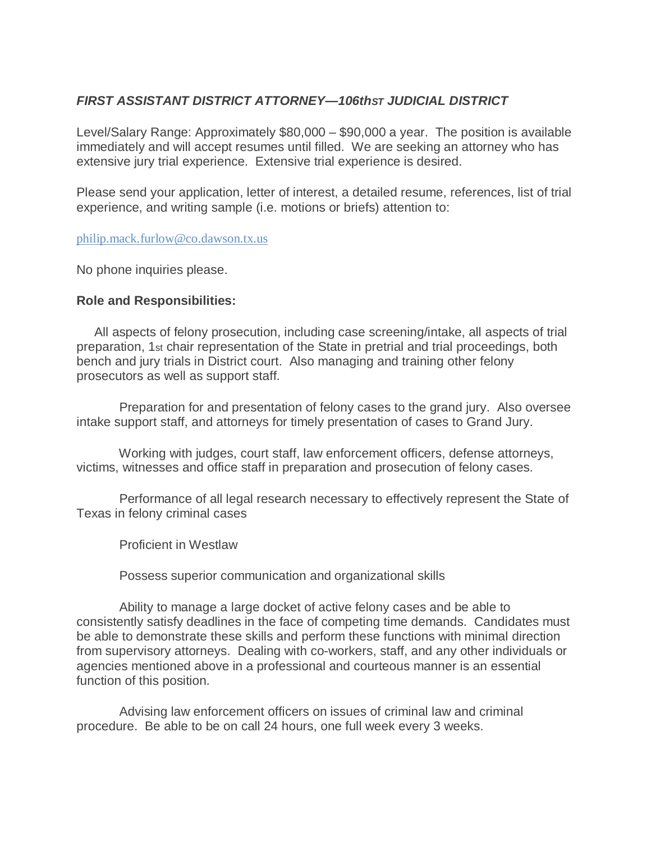# *FIRST ASSISTANT DISTRICT ATTORNEY—106thST JUDICIAL DISTRICT*

Level/Salary Range: Approximately \$80,000 – \$90,000 a year. The position is available immediately and will accept resumes until filled. We are seeking an attorney who has extensive jury trial experience. Extensive trial experience is desired.

Please send your application, letter of interest, a detailed resume, references, list of trial experience, and writing sample (i.e. motions or briefs) attention to:

#### [philip.mack.furlow@co.dawson.tx.us](mailto:philip.mack.furlow@co.dawson.tx.us)

No phone inquiries please.

### **Role and Responsibilities:**

 All aspects of felony prosecution, including case screening/intake, all aspects of trial preparation, 1st chair representation of the State in pretrial and trial proceedings, both bench and jury trials in District court. Also managing and training other felony prosecutors as well as support staff.

 Preparation for and presentation of felony cases to the grand jury. Also oversee intake support staff, and attorneys for timely presentation of cases to Grand Jury.

 Working with judges, court staff, law enforcement officers, defense attorneys, victims, witnesses and office staff in preparation and prosecution of felony cases.

 Performance of all legal research necessary to effectively represent the State of Texas in felony criminal cases

Proficient in Westlaw

Possess superior communication and organizational skills

 Ability to manage a large docket of active felony cases and be able to consistently satisfy deadlines in the face of competing time demands. Candidates must be able to demonstrate these skills and perform these functions with minimal direction from supervisory attorneys. Dealing with co-workers, staff, and any other individuals or agencies mentioned above in a professional and courteous manner is an essential function of this position.

 Advising law enforcement officers on issues of criminal law and criminal procedure. Be able to be on call 24 hours, one full week every 3 weeks.